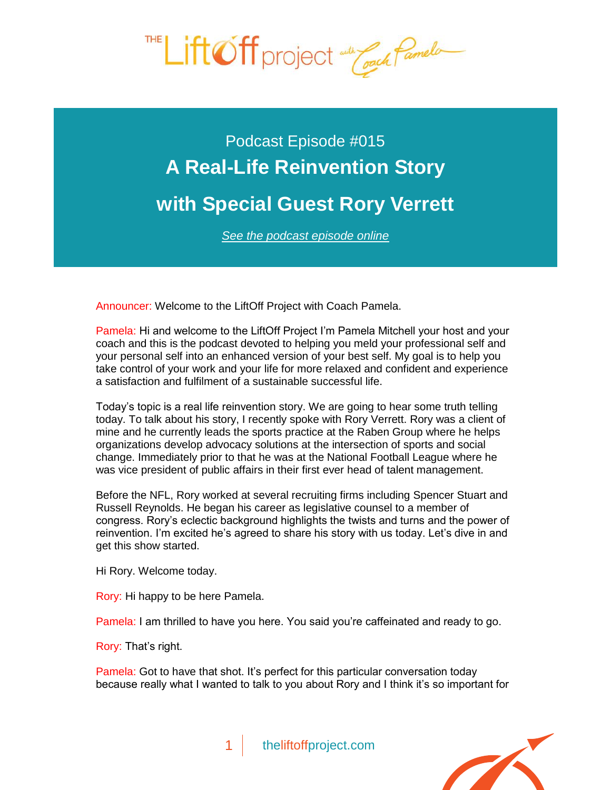

## Podcast Episode #015 **A Real-Life Reinvention Story [with Special Guest Rory Verrett](http://theliftoffproject.com/real-life-reinvention-story-special-guest-rory-verrett/)**

*See the podcast episode online*

Announcer: Welcome to the LiftOff Project with Coach Pamela.

Pamela: Hi and welcome to the LiftOff Project I'm Pamela Mitchell your host and your coach and this is the podcast devoted to helping you meld your professional self and your personal self into an enhanced version of your best self. My goal is to help you take control of your work and your life for more relaxed and confident and experience a satisfaction and fulfilment of a sustainable successful life.

Today's topic is a real life reinvention story. We are going to hear some truth telling today. To talk about his story, I recently spoke with Rory Verrett. Rory was a client of mine and he currently leads the sports practice at the Raben Group where he helps organizations develop advocacy solutions at the intersection of sports and social change. Immediately prior to that he was at the National Football League where he was vice president of public affairs in their first ever head of talent management.

Before the NFL, Rory worked at several recruiting firms including Spencer Stuart and Russell Reynolds. He began his career as legislative counsel to a member of congress. Rory's eclectic background highlights the twists and turns and the power of reinvention. I'm excited he's agreed to share his story with us today. Let's dive in and get this show started.

Hi Rory. Welcome today.

Rory: Hi happy to be here Pamela.

Pamela: I am thrilled to have you here. You said you're caffeinated and ready to go.

Rory: That's right.

Pamela: Got to have that shot. It's perfect for this particular conversation today because really what I wanted to talk to you about Rory and I think it's so important for

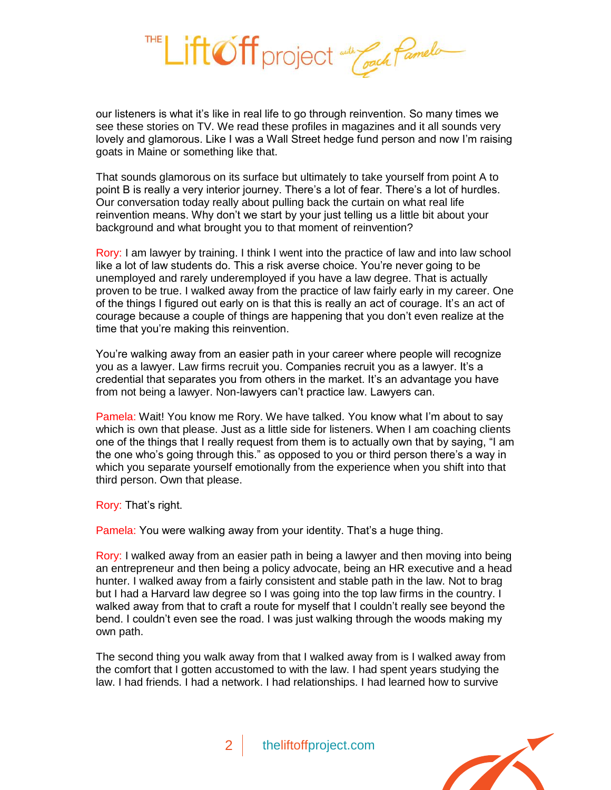

our listeners is what it's like in real life to go through reinvention. So many times we see these stories on TV. We read these profiles in magazines and it all sounds very lovely and glamorous. Like I was a Wall Street hedge fund person and now I'm raising goats in Maine or something like that.

That sounds glamorous on its surface but ultimately to take yourself from point A to point B is really a very interior journey. There's a lot of fear. There's a lot of hurdles. Our conversation today really about pulling back the curtain on what real life reinvention means. Why don't we start by your just telling us a little bit about your background and what brought you to that moment of reinvention?

Rory: I am lawyer by training. I think I went into the practice of law and into law school like a lot of law students do. This a risk averse choice. You're never going to be unemployed and rarely underemployed if you have a law degree. That is actually proven to be true. I walked away from the practice of law fairly early in my career. One of the things I figured out early on is that this is really an act of courage. It's an act of courage because a couple of things are happening that you don't even realize at the time that you're making this reinvention.

You're walking away from an easier path in your career where people will recognize you as a lawyer. Law firms recruit you. Companies recruit you as a lawyer. It's a credential that separates you from others in the market. It's an advantage you have from not being a lawyer. Non-lawyers can't practice law. Lawyers can.

Pamela: Wait! You know me Rory. We have talked. You know what I'm about to say which is own that please. Just as a little side for listeners. When I am coaching clients one of the things that I really request from them is to actually own that by saying, "I am the one who's going through this." as opposed to you or third person there's a way in which you separate yourself emotionally from the experience when you shift into that third person. Own that please.

Rory: That's right.

Pamela: You were walking away from your identity. That's a huge thing.

Rory: I walked away from an easier path in being a lawyer and then moving into being an entrepreneur and then being a policy advocate, being an HR executive and a head hunter. I walked away from a fairly consistent and stable path in the law. Not to brag but I had a Harvard law degree so I was going into the top law firms in the country. I walked away from that to craft a route for myself that I couldn't really see beyond the bend. I couldn't even see the road. I was just walking through the woods making my own path.

The second thing you walk away from that I walked away from is I walked away from the comfort that I gotten accustomed to with the law. I had spent years studying the law. I had friends. I had a network. I had relationships. I had learned how to survive

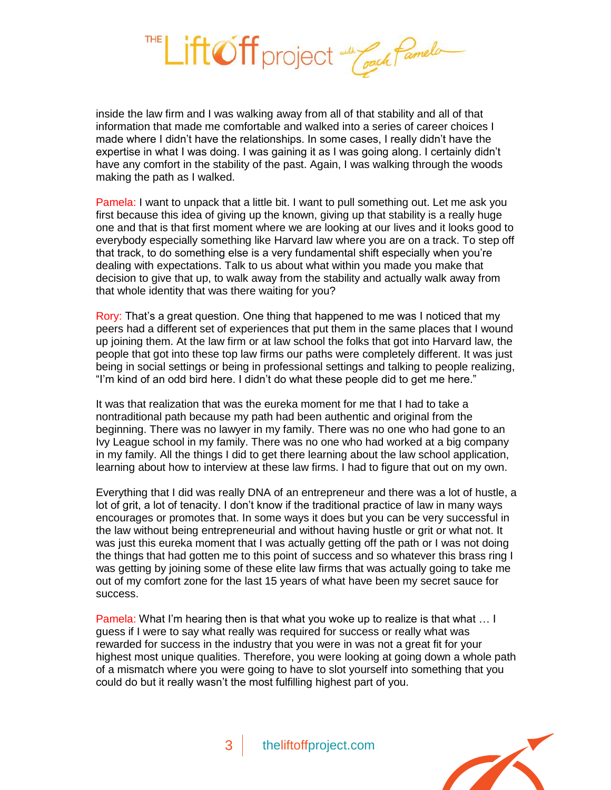

inside the law firm and I was walking away from all of that stability and all of that information that made me comfortable and walked into a series of career choices I made where I didn't have the relationships. In some cases, I really didn't have the expertise in what I was doing. I was gaining it as I was going along. I certainly didn't have any comfort in the stability of the past. Again, I was walking through the woods making the path as I walked.

Pamela: I want to unpack that a little bit. I want to pull something out. Let me ask you first because this idea of giving up the known, giving up that stability is a really huge one and that is that first moment where we are looking at our lives and it looks good to everybody especially something like Harvard law where you are on a track. To step off that track, to do something else is a very fundamental shift especially when you're dealing with expectations. Talk to us about what within you made you make that decision to give that up, to walk away from the stability and actually walk away from that whole identity that was there waiting for you?

Rory: That's a great question. One thing that happened to me was I noticed that my peers had a different set of experiences that put them in the same places that I wound up joining them. At the law firm or at law school the folks that got into Harvard law, the people that got into these top law firms our paths were completely different. It was just being in social settings or being in professional settings and talking to people realizing, "I'm kind of an odd bird here. I didn't do what these people did to get me here."

It was that realization that was the eureka moment for me that I had to take a nontraditional path because my path had been authentic and original from the beginning. There was no lawyer in my family. There was no one who had gone to an Ivy League school in my family. There was no one who had worked at a big company in my family. All the things I did to get there learning about the law school application, learning about how to interview at these law firms. I had to figure that out on my own.

Everything that I did was really DNA of an entrepreneur and there was a lot of hustle, a lot of grit, a lot of tenacity. I don't know if the traditional practice of law in many ways encourages or promotes that. In some ways it does but you can be very successful in the law without being entrepreneurial and without having hustle or grit or what not. It was just this eureka moment that I was actually getting off the path or I was not doing the things that had gotten me to this point of success and so whatever this brass ring I was getting by joining some of these elite law firms that was actually going to take me out of my comfort zone for the last 15 years of what have been my secret sauce for success.

Pamela: What I'm hearing then is that what you woke up to realize is that what … I guess if I were to say what really was required for success or really what was rewarded for success in the industry that you were in was not a great fit for your highest most unique qualities. Therefore, you were looking at going down a whole path of a mismatch where you were going to have to slot yourself into something that you could do but it really wasn't the most fulfilling highest part of you.

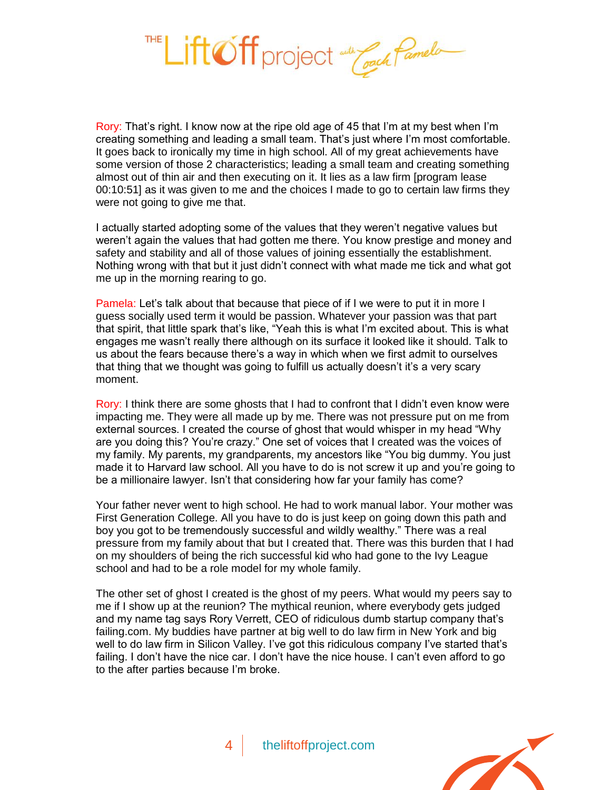

Rory: That's right. I know now at the ripe old age of 45 that I'm at my best when I'm creating something and leading a small team. That's just where I'm most comfortable. It goes back to ironically my time in high school. All of my great achievements have some version of those 2 characteristics; leading a small team and creating something almost out of thin air and then executing on it. It lies as a law firm [program lease 00:10:51] as it was given to me and the choices I made to go to certain law firms they were not going to give me that.

I actually started adopting some of the values that they weren't negative values but weren't again the values that had gotten me there. You know prestige and money and safety and stability and all of those values of joining essentially the establishment. Nothing wrong with that but it just didn't connect with what made me tick and what got me up in the morning rearing to go.

Pamela: Let's talk about that because that piece of if I we were to put it in more I guess socially used term it would be passion. Whatever your passion was that part that spirit, that little spark that's like, "Yeah this is what I'm excited about. This is what engages me wasn't really there although on its surface it looked like it should. Talk to us about the fears because there's a way in which when we first admit to ourselves that thing that we thought was going to fulfill us actually doesn't it's a very scary moment.

Rory: I think there are some ghosts that I had to confront that I didn't even know were impacting me. They were all made up by me. There was not pressure put on me from external sources. I created the course of ghost that would whisper in my head "Why are you doing this? You're crazy." One set of voices that I created was the voices of my family. My parents, my grandparents, my ancestors like "You big dummy. You just made it to Harvard law school. All you have to do is not screw it up and you're going to be a millionaire lawyer. Isn't that considering how far your family has come?

Your father never went to high school. He had to work manual labor. Your mother was First Generation College. All you have to do is just keep on going down this path and boy you got to be tremendously successful and wildly wealthy." There was a real pressure from my family about that but I created that. There was this burden that I had on my shoulders of being the rich successful kid who had gone to the Ivy League school and had to be a role model for my whole family.

The other set of ghost I created is the ghost of my peers. What would my peers say to me if I show up at the reunion? The mythical reunion, where everybody gets judged and my name tag says Rory Verrett, CEO of ridiculous dumb startup company that's failing.com. My buddies have partner at big well to do law firm in New York and big well to do law firm in Silicon Valley. I've got this ridiculous company I've started that's failing. I don't have the nice car. I don't have the nice house. I can't even afford to go to the after parties because I'm broke.

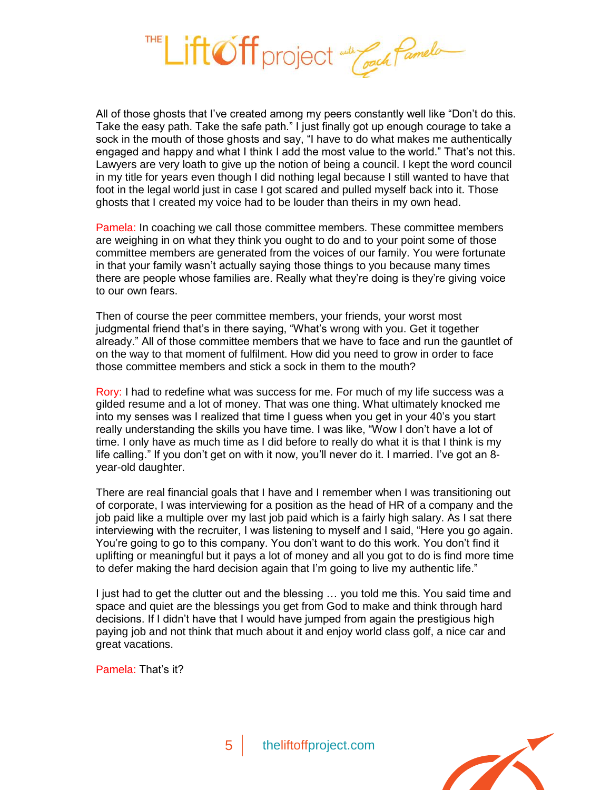

All of those ghosts that I've created among my peers constantly well like "Don't do this. Take the easy path. Take the safe path." I just finally got up enough courage to take a sock in the mouth of those ghosts and say, "I have to do what makes me authentically engaged and happy and what I think I add the most value to the world." That's not this. Lawyers are very loath to give up the notion of being a council. I kept the word council in my title for years even though I did nothing legal because I still wanted to have that foot in the legal world just in case I got scared and pulled myself back into it. Those ghosts that I created my voice had to be louder than theirs in my own head.

Pamela: In coaching we call those committee members. These committee members are weighing in on what they think you ought to do and to your point some of those committee members are generated from the voices of our family. You were fortunate in that your family wasn't actually saying those things to you because many times there are people whose families are. Really what they're doing is they're giving voice to our own fears.

Then of course the peer committee members, your friends, your worst most judgmental friend that's in there saying, "What's wrong with you. Get it together already." All of those committee members that we have to face and run the gauntlet of on the way to that moment of fulfilment. How did you need to grow in order to face those committee members and stick a sock in them to the mouth?

Rory: I had to redefine what was success for me. For much of my life success was a gilded resume and a lot of money. That was one thing. What ultimately knocked me into my senses was I realized that time I guess when you get in your 40's you start really understanding the skills you have time. I was like, "Wow I don't have a lot of time. I only have as much time as I did before to really do what it is that I think is my life calling." If you don't get on with it now, you'll never do it. I married. I've got an 8 year-old daughter.

There are real financial goals that I have and I remember when I was transitioning out of corporate, I was interviewing for a position as the head of HR of a company and the job paid like a multiple over my last job paid which is a fairly high salary. As I sat there interviewing with the recruiter, I was listening to myself and I said, "Here you go again. You're going to go to this company. You don't want to do this work. You don't find it uplifting or meaningful but it pays a lot of money and all you got to do is find more time to defer making the hard decision again that I'm going to live my authentic life."

I just had to get the clutter out and the blessing … you told me this. You said time and space and quiet are the blessings you get from God to make and think through hard decisions. If I didn't have that I would have jumped from again the prestigious high paying job and not think that much about it and enjoy world class golf, a nice car and great vacations.

Pamela: That's it?

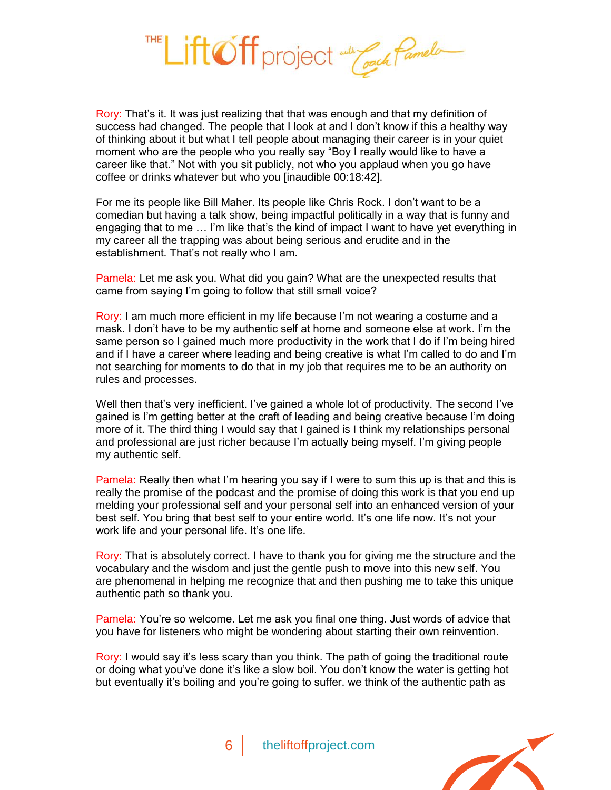

Rory: That's it. It was just realizing that that was enough and that my definition of success had changed. The people that I look at and I don't know if this a healthy way of thinking about it but what I tell people about managing their career is in your quiet moment who are the people who you really say "Boy I really would like to have a career like that." Not with you sit publicly, not who you applaud when you go have coffee or drinks whatever but who you [inaudible 00:18:42].

For me its people like Bill Maher. Its people like Chris Rock. I don't want to be a comedian but having a talk show, being impactful politically in a way that is funny and engaging that to me … I'm like that's the kind of impact I want to have yet everything in my career all the trapping was about being serious and erudite and in the establishment. That's not really who I am.

Pamela: Let me ask you. What did you gain? What are the unexpected results that came from saying I'm going to follow that still small voice?

Rory: I am much more efficient in my life because I'm not wearing a costume and a mask. I don't have to be my authentic self at home and someone else at work. I'm the same person so I gained much more productivity in the work that I do if I'm being hired and if I have a career where leading and being creative is what I'm called to do and I'm not searching for moments to do that in my job that requires me to be an authority on rules and processes.

Well then that's very inefficient. I've gained a whole lot of productivity. The second I've gained is I'm getting better at the craft of leading and being creative because I'm doing more of it. The third thing I would say that I gained is I think my relationships personal and professional are just richer because I'm actually being myself. I'm giving people my authentic self.

Pamela: Really then what I'm hearing you say if I were to sum this up is that and this is really the promise of the podcast and the promise of doing this work is that you end up melding your professional self and your personal self into an enhanced version of your best self. You bring that best self to your entire world. It's one life now. It's not your work life and your personal life. It's one life.

Rory: That is absolutely correct. I have to thank you for giving me the structure and the vocabulary and the wisdom and just the gentle push to move into this new self. You are phenomenal in helping me recognize that and then pushing me to take this unique authentic path so thank you.

Pamela: You're so welcome. Let me ask you final one thing. Just words of advice that you have for listeners who might be wondering about starting their own reinvention.

Rory: I would say it's less scary than you think. The path of going the traditional route or doing what you've done it's like a slow boil. You don't know the water is getting hot but eventually it's boiling and you're going to suffer. we think of the authentic path as

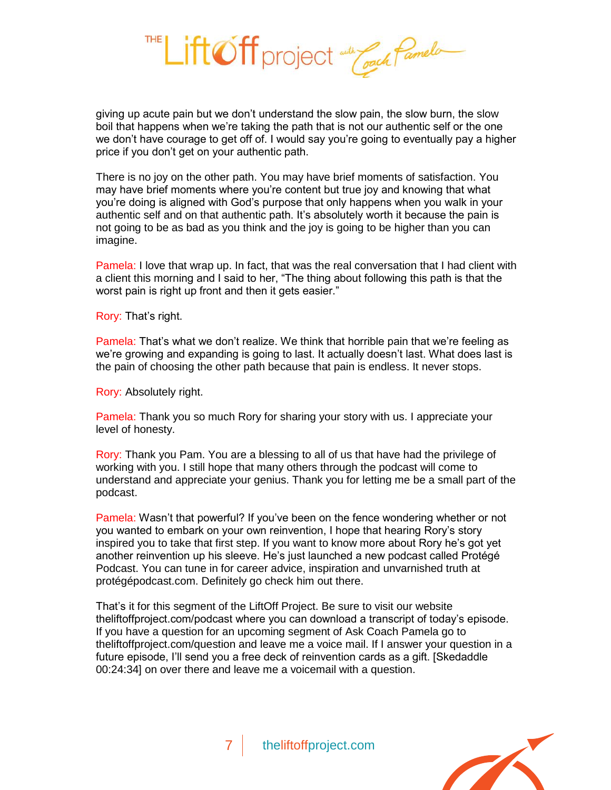Lift Off project and Coach Pamelo

giving up acute pain but we don't understand the slow pain, the slow burn, the slow boil that happens when we're taking the path that is not our authentic self or the one we don't have courage to get off of. I would say you're going to eventually pay a higher price if you don't get on your authentic path.

There is no joy on the other path. You may have brief moments of satisfaction. You may have brief moments where you're content but true joy and knowing that what you're doing is aligned with God's purpose that only happens when you walk in your authentic self and on that authentic path. It's absolutely worth it because the pain is not going to be as bad as you think and the joy is going to be higher than you can imagine.

Pamela: I love that wrap up. In fact, that was the real conversation that I had client with a client this morning and I said to her, "The thing about following this path is that the worst pain is right up front and then it gets easier."

Rory: That's right.

Pamela: That's what we don't realize. We think that horrible pain that we're feeling as we're growing and expanding is going to last. It actually doesn't last. What does last is the pain of choosing the other path because that pain is endless. It never stops.

Rory: Absolutely right.

Pamela: Thank you so much Rory for sharing your story with us. I appreciate your level of honesty.

Rory: Thank you Pam. You are a blessing to all of us that have had the privilege of working with you. I still hope that many others through the podcast will come to understand and appreciate your genius. Thank you for letting me be a small part of the podcast.

Pamela: Wasn't that powerful? If you've been on the fence wondering whether or not you wanted to embark on your own reinvention, I hope that hearing Rory's story inspired you to take that first step. If you want to know more about Rory he's got yet another reinvention up his sleeve. He's just launched a new podcast called Protégé Podcast. You can tune in for career advice, inspiration and unvarnished truth at protégépodcast.com. Definitely go check him out there.

That's it for this segment of the LiftOff Project. Be sure to visit our website theliftoffproject.com/podcast where you can download a transcript of today's episode. If you have a question for an upcoming segment of Ask Coach Pamela go to theliftoffproject.com/question and leave me a voice mail. If I answer your question in a future episode, I'll send you a free deck of reinvention cards as a gift. [Skedaddle 00:24:34] on over there and leave me a voicemail with a question.